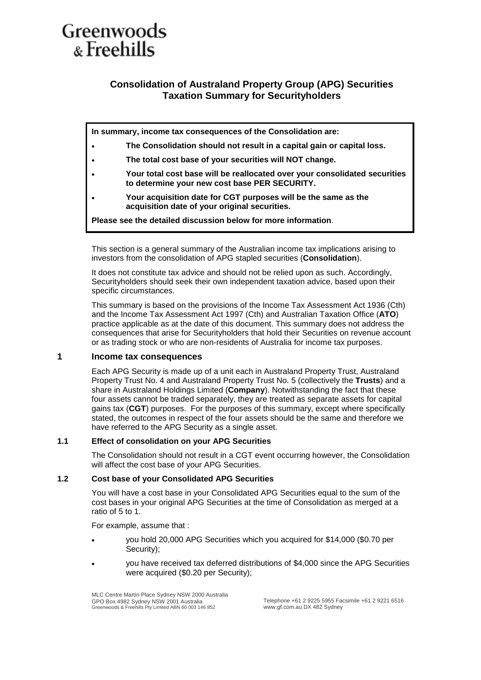# Greenwoods & Freehills

## **Consolidation of Australand Property Group (APG) Securities Taxation Summary for Securityholders**

**In summary, income tax consequences of the Consolidation are:**

- **The Consolidation should not result in a capital gain or capital loss.**
- **The total cost base of your securities will NOT change.**
- **Your total cost base will be reallocated over your consolidated securities to determine your new cost base PER SECURITY.**
- **Your acquisition date for CGT purposes will be the same as the acquisition date of your original securities.**

**Please see the detailed discussion below for more information**.

This section is a general summary of the Australian income tax implications arising to investors from the consolidation of APG stapled securities (**Consolidation**).

It does not constitute tax advice and should not be relied upon as such. Accordingly, Securityholders should seek their own independent taxation advice, based upon their specific circumstances.

This summary is based on the provisions of the Income Tax Assessment Act 1936 (Cth) and the Income Tax Assessment Act 1997 (Cth) and Australian Taxation Office (**ATO**) practice applicable as at the date of this document. This summary does not address the consequences that arise for Securityholders that hold their Securities on revenue account or as trading stock or who are non-residents of Australia for income tax purposes.

### **1 Income tax consequences**

Each APG Security is made up of a unit each in Australand Property Trust, Australand Property Trust No. 4 and Australand Property Trust No. 5 (collectively the **Trusts**) and a share in Australand Holdings Limited (**Company**). Notwithstanding the fact that these four assets cannot be traded separately, they are treated as separate assets for capital gains tax (**CGT**) purposes. For the purposes of this summary, except where specifically stated, the outcomes in respect of the four assets should be the same and therefore we have referred to the APG Security as a single asset.

#### **1.1 Effect of consolidation on your APG Securities**

The Consolidation should not result in a CGT event occurring however, the Consolidation will affect the cost base of your APG Securities.

#### **1.2 Cost base of your Consolidated APG Securities**

You will have a cost base in your Consolidated APG Securities equal to the sum of the cost bases in your original APG Securities at the time of Consolidation as merged at a ratio of 5 to 1.

For example, assume that :

- you hold 20,000 APG Securities which you acquired for \$14,000 (\$0.70 per Security);
- you have received tax deferred distributions of \$4,000 since the APG Securities were acquired (\$0.20 per Security);

MLC Centre Martin Place Sydney NSW 2000 Australia GPO Box 4982 Sydney NSW 2001 Australia Greenwoods & Freehills Pty Limited ABN 60 003 146 852

Telephone +61 2 9225 5955 Facsimile +61 2 9221 6516 www.gf.com.au DX 482 Sydney